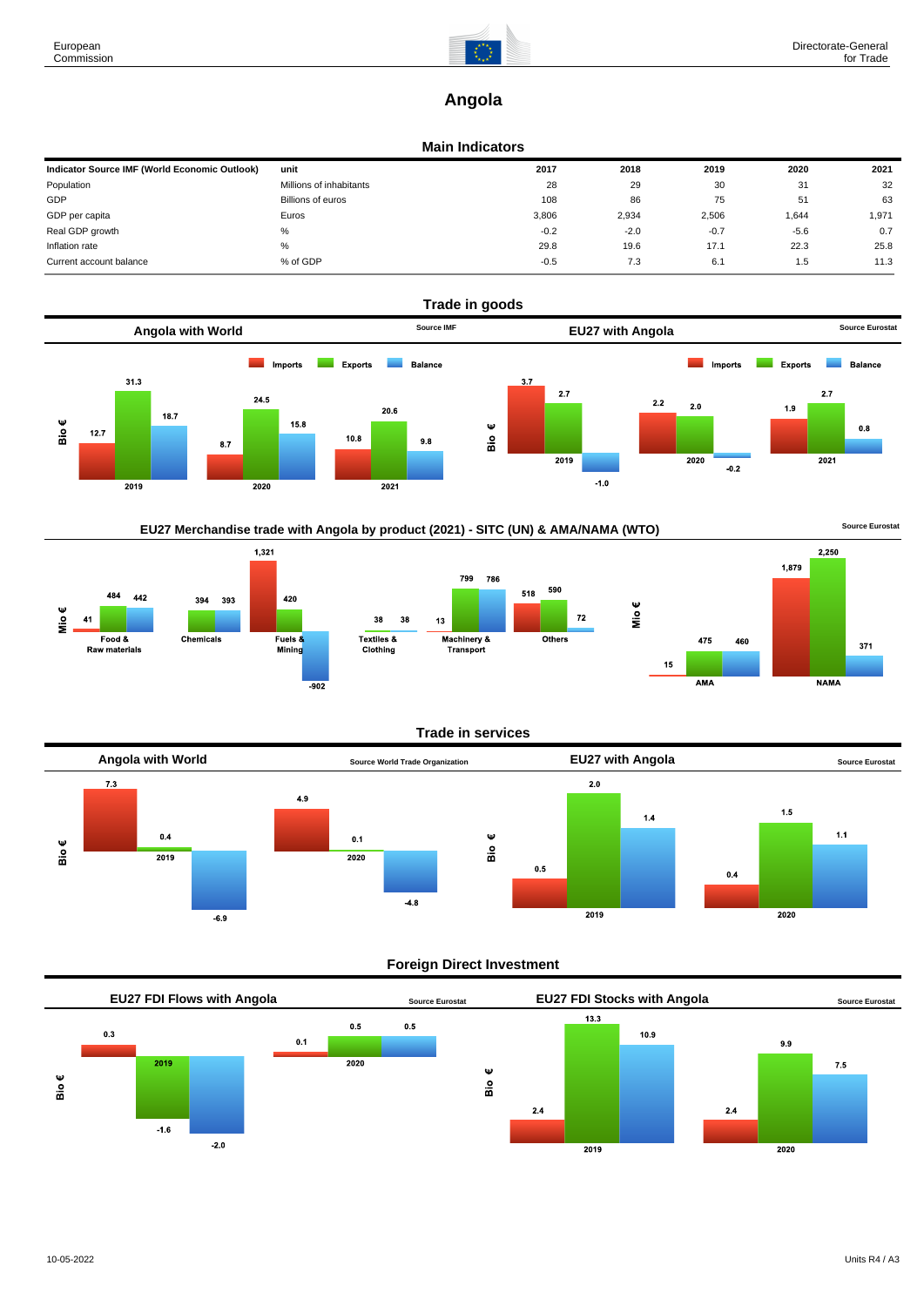

# **Angola**

### **Main Indicators**

| Indicator Source IMF (World Economic Outlook) | unit                    | 2017   | 2018   | 2019   | 2020   | 2021  |
|-----------------------------------------------|-------------------------|--------|--------|--------|--------|-------|
| Population                                    | Millions of inhabitants | 28     | 29     | 30     | 31     | 32    |
| GDP                                           | Billions of euros       | 108    | 86     | 75     | 51     | 63    |
| GDP per capita                                | Euros                   | 3,806  | 2,934  | 2,506  | 1,644  | 1,971 |
| Real GDP growth                               | %                       | $-0.2$ | $-2.0$ | $-0.7$ | $-5.6$ | 0.7   |
| Inflation rate                                | $\%$                    | 29.8   | 19.6   | 17.1   | 22.3   | 25.8  |
| Current account balance                       | % of GDP                | $-0.5$ | 7.3    | 6.1    | 1.5    | 11.3  |



# EU27 Merchandise trade with Angola by product (2021) - SITC (UN) & AMA/NAMA (WTO) **Source Eurostat**







Mio€

#### **Trade in services**



#### **Foreign Direct Investment**